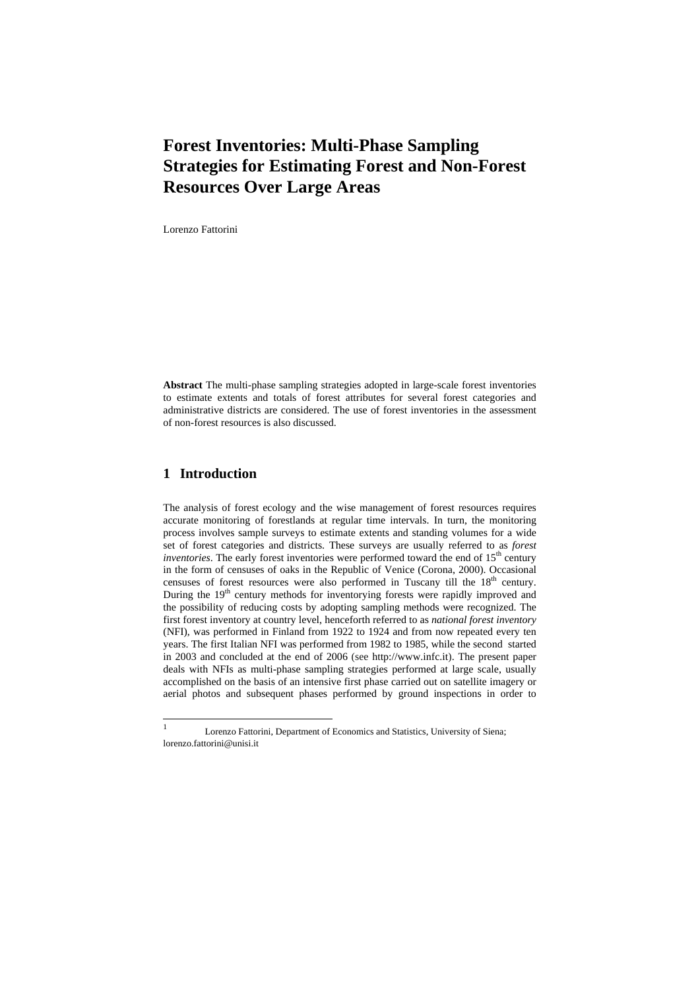Lorenzo Fattorini

**Abstract** The multi-phase sampling strategies adopted in large-scale forest inventories to estimate extents and totals of forest attributes for several forest categories and administrative districts are considered. The use of forest inventories in the assessment of non-forest resources is also discussed.

# **1 Introduction**

The analysis of forest ecology and the wise management of forest resources requires accurate monitoring of forestlands at regular time intervals. In turn, the monitoring process involves sample surveys to estimate extents and standing volumes for a wide set of forest categories and districts. These surveys are usually referred to as *forest inventories*. The early forest inventories were performed toward the end of 15<sup>th</sup> century in the form of censuses of oaks in the Republic of Venice (Corona, 2000). Occasional censuses of forest resources were also performed in Tuscany till the 18<sup>th</sup> century. During the  $19<sup>th</sup>$  century methods for inventorying forests were rapidly improved and the possibility of reducing costs by adopting sampling methods were recognized. The first forest inventory at country level, henceforth referred to as *national forest inventory* (NFI), was performed in Finland from 1922 to 1924 and from now repeated every ten years. The first Italian NFI was performed from 1982 to 1985, while the second started in 2003 and concluded at the end of 2006 (see http://www.infc.it). The present paper deals with NFIs as multi-phase sampling strategies performed at large scale, usually accomplished on the basis of an intensive first phase carried out on satellite imagery or aerial photos and subsequent phases performed by ground inspections in order to

 $\frac{1}{1}$  Lorenzo Fattorini, Department of Economics and Statistics, University of Siena; lorenzo.fattorini@unisi.it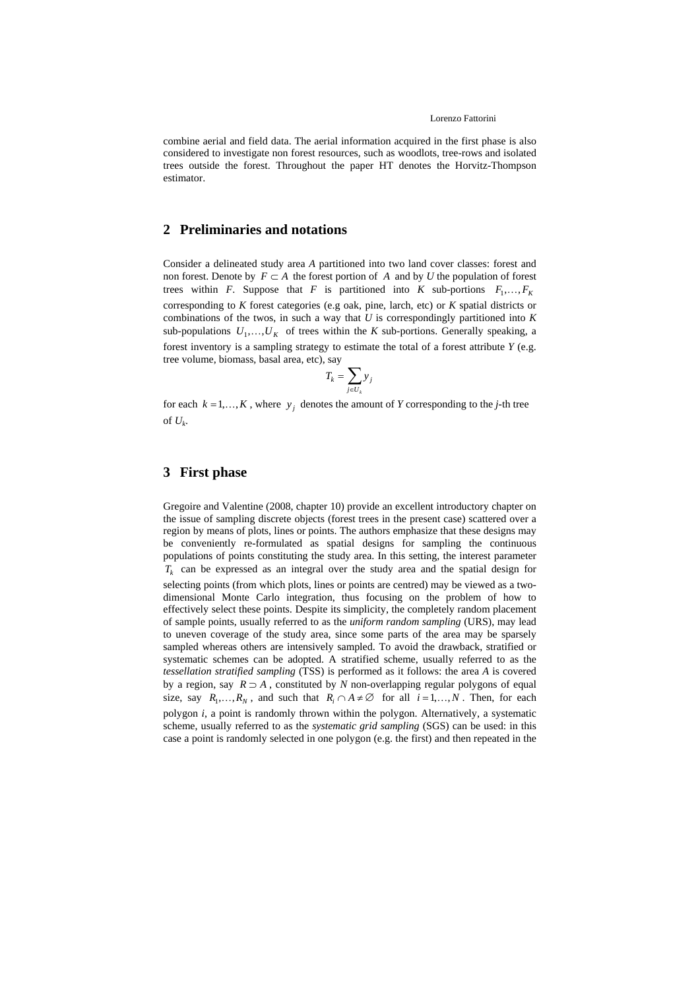### Lorenzo Fattorini

combine aerial and field data. The aerial information acquired in the first phase is also considered to investigate non forest resources, such as woodlots, tree-rows and isolated trees outside the forest. Throughout the paper HT denotes the Horvitz-Thompson estimator.

### **2 Preliminaries and notations**

Consider a delineated study area *A* partitioned into two land cover classes: forest and non forest. Denote by  $F \subset A$  the forest portion of *A* and by *U* the population of forest trees within *F*. Suppose that *F* is partitioned into *K* sub-portions  $F_1, \ldots, F_K$ corresponding to *K* forest categories (e.g oak, pine, larch, etc) or *K* spatial districts or combinations of the twos, in such a way that *U* is correspondingly partitioned into *K* sub-populations  $U_1, \ldots, U_K$  of trees within the *K* sub-portions. Generally speaking, a forest inventory is a sampling strategy to estimate the total of a forest attribute *Y* (e.g. tree volume, biomass, basal area, etc), say

$$
T_k = \sum_{j \in U_k} y_j
$$

for each  $k = 1,...,K$ , where  $y_i$  denotes the amount of *Y* corresponding to the *j*-th tree of  $U_k$ .

## **3 First phase**

Gregoire and Valentine (2008, chapter 10) provide an excellent introductory chapter on the issue of sampling discrete objects (forest trees in the present case) scattered over a region by means of plots, lines or points. The authors emphasize that these designs may be conveniently re-formulated as spatial designs for sampling the continuous populations of points constituting the study area. In this setting, the interest parameter *Tk* can be expressed as an integral over the study area and the spatial design for selecting points (from which plots, lines or points are centred) may be viewed as a twodimensional Monte Carlo integration, thus focusing on the problem of how to effectively select these points. Despite its simplicity, the completely random placement of sample points, usually referred to as the *uniform random sampling* (URS), may lead to uneven coverage of the study area, since some parts of the area may be sparsely sampled whereas others are intensively sampled. To avoid the drawback, stratified or systematic schemes can be adopted. A stratified scheme, usually referred to as the *tessellation stratified sampling* (TSS) is performed as it follows: the area *A* is covered by a region, say *R* ⊃ *A* , constituted by *N* non-overlapping regular polygons of equal size, say  $R_1, \ldots, R_N$ , and such that  $R_i \cap A \neq \emptyset$  for all  $i = 1, \ldots, N$ . Then, for each polygon *i*, a point is randomly thrown within the polygon. Alternatively, a systematic scheme, usually referred to as the *systematic grid sampling* (SGS) can be used: in this case a point is randomly selected in one polygon (e.g. the first) and then repeated in the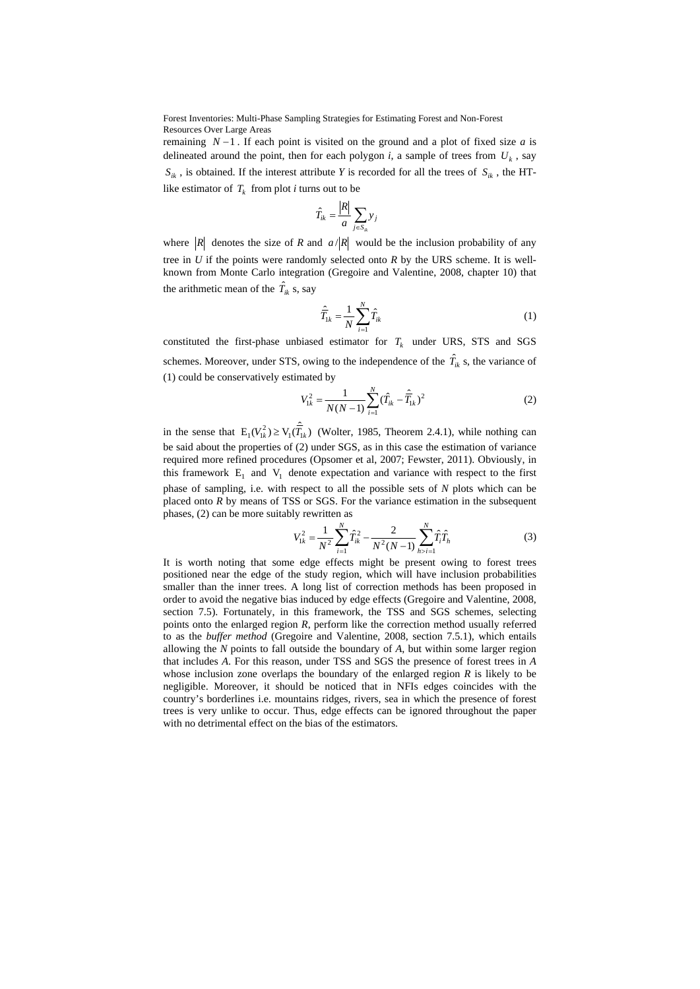remaining  $N-1$ . If each point is visited on the ground and a plot of fixed size *a* is delineated around the point, then for each polygon *i*, a sample of trees from  $U_k$ , say  $S_{ik}$ , is obtained. If the interest attribute *Y* is recorded for all the trees of  $S_{ik}$ , the HTlike estimator of  $T_k$  from plot *i* turns out to be

$$
\hat{T}_{ik} = \frac{|R|}{a} \sum_{j \in S_{ik}} y_j
$$

where  $|R|$  denotes the size of *R* and  $a/|R|$  would be the inclusion probability of any tree in *U* if the points were randomly selected onto *R* by the URS scheme. It is wellknown from Monte Carlo integration (Gregoire and Valentine, 2008, chapter 10) that the arithmetic mean of the  $\hat{T}_{ik}$  s, say

$$
\hat{\overline{T}}_{1k} = \frac{1}{N} \sum_{i=1}^{N} \hat{T}_{ik}
$$
\n(1)

constituted the first-phase unbiased estimator for  $T_k$  under URS, STS and SGS schemes. Moreover, under STS, owing to the independence of the  $\hat{T}_{ik}$  s, the variance of (1) could be conservatively estimated by

$$
V_{1k}^{2} = \frac{1}{N(N-1)} \sum_{i=1}^{N} (\hat{T}_{ik} - \hat{\overline{T}}_{1k})^{2}
$$
 (2)

in the sense that  $E_1 (V_{1k}^2) \ge V_1(\hat{T}_{1k})$  (Wolter, 1985, Theorem 2.4.1), while nothing can be said about the properties of (2) under SGS, as in this case the estimation of variance required more refined procedures (Opsomer et al, 2007; Fewster, 2011). Obviously, in this framework  $E_1$  and  $V_1$  denote expectation and variance with respect to the first phase of sampling, i.e. with respect to all the possible sets of *N* plots which can be placed onto *R* by means of TSS or SGS. For the variance estimation in the subsequent phases, (2) can be more suitably rewritten as

$$
V_{1k}^2 = \frac{1}{N^2} \sum_{i=1}^N \hat{T}_{ik}^2 - \frac{2}{N^2 (N-1)} \sum_{h>i=1}^N \hat{T}_{ih} \hat{T}_h
$$
 (3)

It is worth noting that some edge effects might be present owing to forest trees positioned near the edge of the study region, which will have inclusion probabilities smaller than the inner trees. A long list of correction methods has been proposed in order to avoid the negative bias induced by edge effects (Gregoire and Valentine, 2008, section 7.5). Fortunately, in this framework, the TSS and SGS schemes, selecting points onto the enlarged region *R*, perform like the correction method usually referred to as the *buffer method* (Gregoire and Valentine, 2008, section 7.5.1), which entails allowing the *N* points to fall outside the boundary of *A*, but within some larger region that includes *A*. For this reason, under TSS and SGS the presence of forest trees in *A* whose inclusion zone overlaps the boundary of the enlarged region *R* is likely to be negligible. Moreover, it should be noticed that in NFIs edges coincides with the country's borderlines i.e. mountains ridges, rivers, sea in which the presence of forest trees is very unlike to occur. Thus, edge effects can be ignored throughout the paper with no detrimental effect on the bias of the estimators.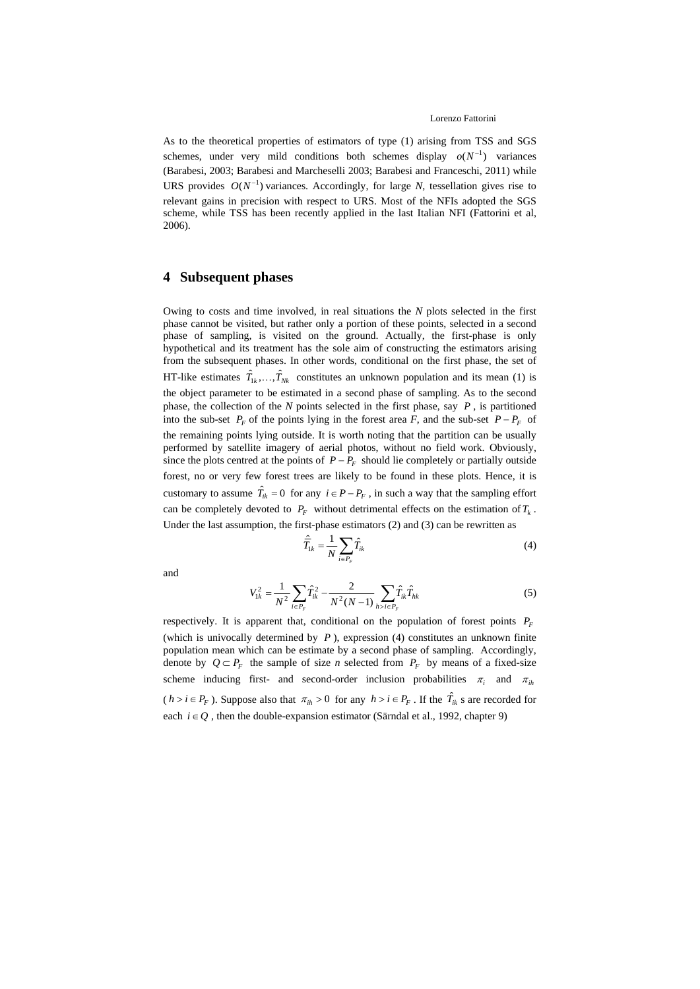As to the theoretical properties of estimators of type (1) arising from TSS and SGS schemes, under very mild conditions both schemes display  $o(N^{-1})$  variances (Barabesi, 2003; Barabesi and Marcheselli 2003; Barabesi and Franceschi, 2011) while URS provides  $O(N^{-1})$  variances. Accordingly, for large *N*, tessellation gives rise to relevant gains in precision with respect to URS. Most of the NFIs adopted the SGS scheme, while TSS has been recently applied in the last Italian NFI (Fattorini et al, 2006).

# **4 Subsequent phases**

Owing to costs and time involved, in real situations the *N* plots selected in the first phase cannot be visited, but rather only a portion of these points, selected in a second phase of sampling, is visited on the ground. Actually, the first-phase is only hypothetical and its treatment has the sole aim of constructing the estimators arising from the subsequent phases. In other words, conditional on the first phase, the set of HT-like estimates  $\hat{T}_{1k},...,\hat{T}_{Nk}$  constitutes an unknown population and its mean (1) is the object parameter to be estimated in a second phase of sampling. As to the second phase, the collection of the *N* points selected in the first phase, say *P* , is partitioned into the sub-set  $P_F$  of the points lying in the forest area *F*, and the sub-set  $P - P_F$  of the remaining points lying outside. It is worth noting that the partition can be usually performed by satellite imagery of aerial photos, without no field work. Obviously, since the plots centred at the points of  $P - P_F$  should lie completely or partially outside forest, no or very few forest trees are likely to be found in these plots. Hence, it is customary to assume  $\hat{T}_{ik} = 0$  for any  $i \in P - P_F$ , in such a way that the sampling effort can be completely devoted to  $P<sub>F</sub>$  without detrimental effects on the estimation of  $T<sub>k</sub>$ . Under the last assumption, the first-phase estimators (2) and (3) can be rewritten as

$$
\hat{\overline{T}}_{ik} = \frac{1}{N} \sum_{i \in P_F} \hat{T}_{ik} \tag{4}
$$

and

$$
V_{1k}^{2} = \frac{1}{N^{2}} \sum_{i \in P_{F}} \hat{T}_{ik}^{2} - \frac{2}{N^{2}(N-1)} \sum_{h>i \in P_{F}} \hat{T}_{ik} \hat{T}_{hk}
$$
(5)

respectively. It is apparent that, conditional on the population of forest points  $P_F$ (which is univocally determined by  $P$ ), expression (4) constitutes an unknown finite population mean which can be estimate by a second phase of sampling. Accordingly, denote by  $Q \subset P_F$  the sample of size *n* selected from  $P_F$  by means of a fixed-size scheme inducing first- and second-order inclusion probabilities  $\pi_i$  and  $\pi_{ih}$  $(h > i \in P_F)$ . Suppose also that  $\pi_{ih} > 0$  for any  $h > i \in P_F$ . If the  $\hat{T}_{ik}$  s are recorded for each  $i \in Q$ , then the double-expansion estimator (Särndal et al., 1992, chapter 9)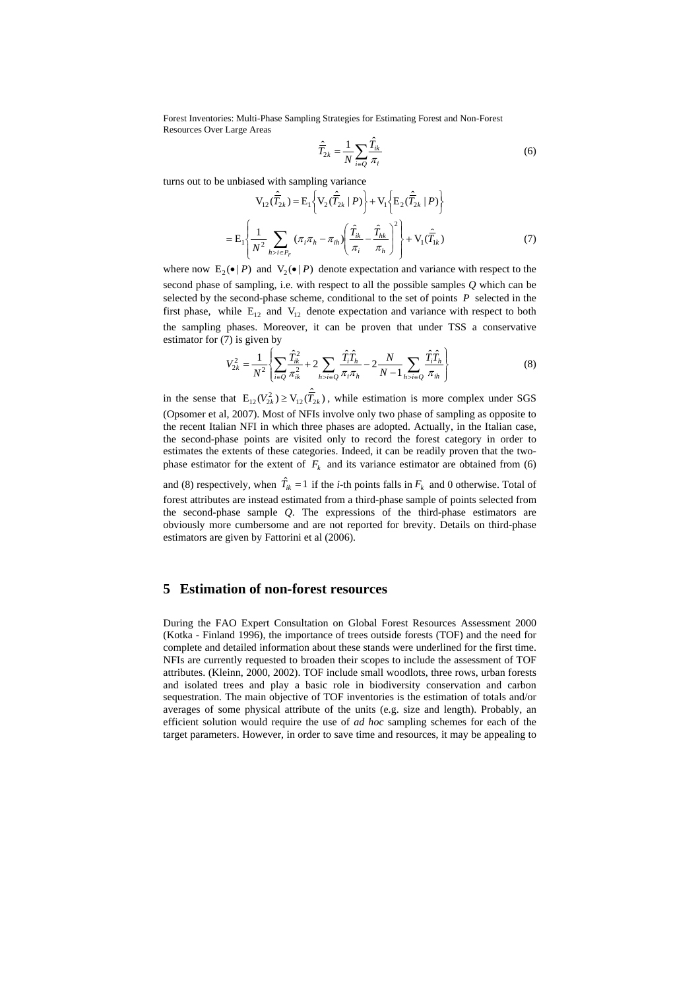$$
\hat{\overline{T}}_{2k} = \frac{1}{N} \sum_{i \in \mathcal{Q}} \frac{\hat{T}_{ik}}{\pi_i} \tag{6}
$$

turns out to be unbiased with sampling variance

$$
V_{12}(\hat{T}_{2k}) = E_1 \left\{ V_2(\hat{T}_{2k} | P) \right\} + V_1 \left\{ E_2(\hat{T}_{2k} | P) \right\}
$$

$$
= E_1 \left\{ \frac{1}{N^2} \sum_{h > i \in P_F} (\pi_i \pi_h - \pi_{ih}) \left( \frac{\hat{T}_{ik}}{\pi_i} - \frac{\hat{T}_{hk}}{\pi_h} \right)^2 \right\} + V_1(\hat{T}_{1k})
$$
(7)

where now  $E_2(\bullet | P)$  and  $V_2(\bullet | P)$  denote expectation and variance with respect to the second phase of sampling, i.e. with respect to all the possible samples *Q* which can be selected by the second-phase scheme, conditional to the set of points *P* selected in the first phase, while  $E_{12}$  and  $V_{12}$  denote expectation and variance with respect to both the sampling phases. Moreover, it can be proven that under TSS a conservative estimator for  $(7)$  is given by

$$
V_{2k}^{2} = \frac{1}{N^{2}} \left\{ \sum_{i \in Q} \frac{\hat{T}_{ik}^{2}}{\pi_{ik}^{2}} + 2 \sum_{h > i \in Q} \frac{\hat{T}_{i} \hat{T}_{h}}{\pi_{i} \pi_{h}} - 2 \frac{N}{N - 1} \sum_{h > i \in Q} \frac{\hat{T}_{i} \hat{T}_{h}}{\pi_{ih}} \right\}
$$
(8)

in the sense that  $E_{12}(V_{2k}^2) \ge V_{12}(\hat{T}_{2k})$ , while estimation is more complex under SGS (Opsomer et al, 2007). Most of NFIs involve only two phase of sampling as opposite to the recent Italian NFI in which three phases are adopted. Actually, in the Italian case, the second-phase points are visited only to record the forest category in order to estimates the extents of these categories. Indeed, it can be readily proven that the twophase estimator for the extent of  $F_k$  and its variance estimator are obtained from (6)

and (8) respectively, when  $\hat{T}_{ik} = 1$  if the *i*-th points falls in  $F_k$  and 0 otherwise. Total of forest attributes are instead estimated from a third-phase sample of points selected from the second-phase sample *Q*. The expressions of the third-phase estimators are obviously more cumbersome and are not reported for brevity. Details on third-phase estimators are given by Fattorini et al (2006).

# **5 Estimation of non-forest resources**

During the FAO Expert Consultation on Global Forest Resources Assessment 2000 (Kotka - Finland 1996), the importance of trees outside forests (TOF) and the need for complete and detailed information about these stands were underlined for the first time. NFIs are currently requested to broaden their scopes to include the assessment of TOF attributes. (Kleinn, 2000, 2002). TOF include small woodlots, three rows, urban forests and isolated trees and play a basic role in biodiversity conservation and carbon sequestration. The main objective of TOF inventories is the estimation of totals and/or averages of some physical attribute of the units (e.g. size and length). Probably, an efficient solution would require the use of *ad hoc* sampling schemes for each of the target parameters. However, in order to save time and resources, it may be appealing to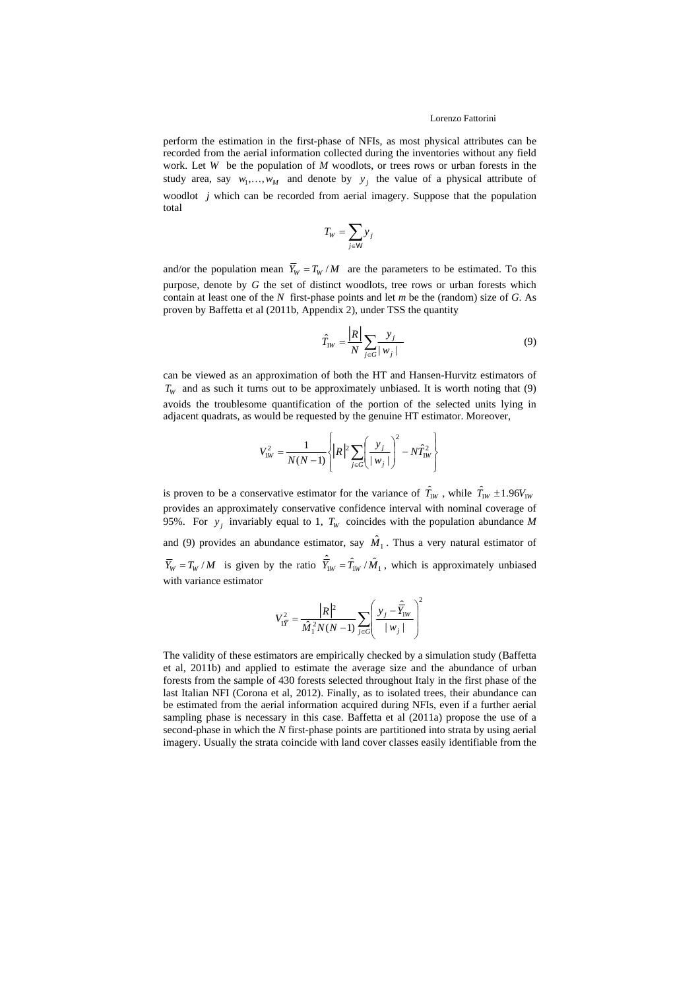#### Lorenzo Fattorini

perform the estimation in the first-phase of NFIs, as most physical attributes can be recorded from the aerial information collected during the inventories without any field work. Let *W* be the population of *M* woodlots, or trees rows or urban forests in the study area, say  $w_1, \ldots, w_M$  and denote by  $y_j$  the value of a physical attribute of woodlot *j* which can be recorded from aerial imagery. Suppose that the population total

$$
T_W = \sum_{j \in \mathsf{W}} y_j
$$

and/or the population mean  $\overline{Y}_W = T_W/M$  are the parameters to be estimated. To this purpose, denote by *G* the set of distinct woodlots, tree rows or urban forests which contain at least one of the *N* first-phase points and let *m* be the (random) size of *G*. As proven by Baffetta et al (2011b, Appendix 2), under TSS the quantity

$$
\hat{T}_{\text{IW}} = \frac{\left| R \right|}{N} \sum_{j \in G} \frac{y_j}{|w_j|} \tag{9}
$$

can be viewed as an approximation of both the HT and Hansen-Hurvitz estimators of  $T_w$  and as such it turns out to be approximately unbiased. It is worth noting that (9) avoids the troublesome quantification of the portion of the selected units lying in adjacent quadrats, as would be requested by the genuine HT estimator. Moreover,

$$
V_{1W}^{2} = \frac{1}{N(N-1)} \left\{ \left\{ R \right\} \sum_{j \in G} \left( \frac{y_{j}}{|w_{j}|} \right)^{2} - N \hat{T}_{1W}^{2} \right\}
$$

is proven to be a conservative estimator for the variance of  $\hat{T}_{1W}$ , while  $\hat{T}_{1W} \pm 1.96 V_{1W}$ provides an approximately conservative confidence interval with nominal coverage of 95%. For  $y_i$  invariably equal to 1,  $T_w$  coincides with the population abundance *M* and (9) provides an abundance estimator, say  $\hat{M}_1$ . Thus a very natural estimator of  $\overline{Y}_W = T_W/M$  is given by the ratio  $\hat{T}_{IW} = \hat{T}_{IW}/\hat{M}_1$ , which is approximately unbiased with variance estimator

$$
V_{1\overline{Y}}^{2} = \frac{\left/R\right)^{2}}{\hat{M}_{1}^{2}N(N-1)}\sum_{j\in G}\left(\frac{y_{j} - \hat{\overline{Y}}_{1W}}{\left|w_{j}\right|}\right)^{2}
$$

The validity of these estimators are empirically checked by a simulation study (Baffetta et al, 2011b) and applied to estimate the average size and the abundance of urban forests from the sample of 430 forests selected throughout Italy in the first phase of the last Italian NFI (Corona et al, 2012). Finally, as to isolated trees, their abundance can be estimated from the aerial information acquired during NFIs, even if a further aerial sampling phase is necessary in this case. Baffetta et al (2011a) propose the use of a second-phase in which the *N* first-phase points are partitioned into strata by using aerial imagery. Usually the strata coincide with land cover classes easily identifiable from the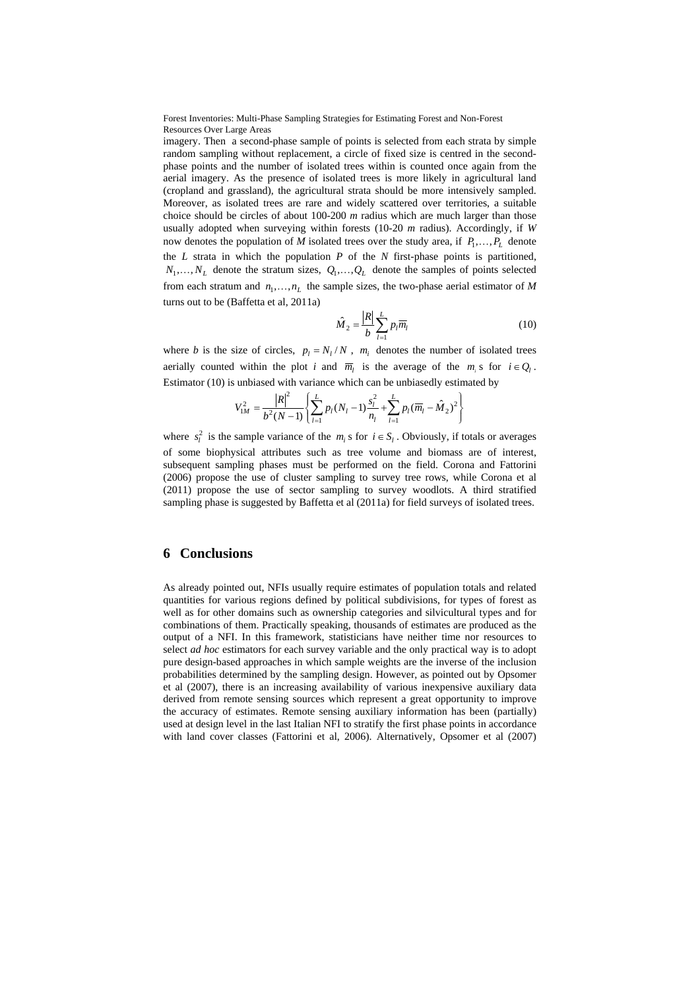imagery. Then a second-phase sample of points is selected from each strata by simple random sampling without replacement, a circle of fixed size is centred in the secondphase points and the number of isolated trees within is counted once again from the aerial imagery. As the presence of isolated trees is more likely in agricultural land (cropland and grassland), the agricultural strata should be more intensively sampled. Moreover, as isolated trees are rare and widely scattered over territories, a suitable choice should be circles of about 100-200 *m* radius which are much larger than those usually adopted when surveying within forests (10-20 *m* radius). Accordingly, if *W* now denotes the population of *M* isolated trees over the study area, if  $P_1, \ldots, P_L$  denote the *L* strata in which the population *P* of the *N* first-phase points is partitioned,  $N_1, \ldots, N_L$  denote the stratum sizes,  $Q_1, \ldots, Q_L$  denote the samples of points selected from each stratum and  $n_1, \ldots, n_L$  the sample sizes, the two-phase aerial estimator of *M* turns out to be (Baffetta et al, 2011a)

$$
\hat{M}_2 = \frac{|R|}{b} \sum_{l=1}^{L} p_l \overline{m}_l
$$
\n(10)

where *b* is the size of circles,  $p_l = N_l / N$ ,  $m_i$  denotes the number of isolated trees aerially counted within the plot *i* and  $\overline{m}_l$  is the average of the  $m_i$  s for  $i \in Q_l$ . Estimator (10) is unbiased with variance which can be unbiasedly estimated by

$$
V_{1M}^{2} = \frac{|R|^{2}}{b^{2}(N-1)} \left\{ \sum_{l=1}^{L} p_{l}(N_{l}-1) \frac{s_{l}^{2}}{n_{l}} + \sum_{l=1}^{L} p_{l}(\overline{m}_{l} - \hat{M}_{2})^{2} \right\}
$$

where  $s_i^2$  is the sample variance of the  $m_i$  s for  $i \in S_i$ . Obviously, if totals or averages of some biophysical attributes such as tree volume and biomass are of interest, subsequent sampling phases must be performed on the field. Corona and Fattorini (2006) propose the use of cluster sampling to survey tree rows, while Corona et al (2011) propose the use of sector sampling to survey woodlots. A third stratified sampling phase is suggested by Baffetta et al (2011a) for field surveys of isolated trees.

### **6 Conclusions**

As already pointed out, NFIs usually require estimates of population totals and related quantities for various regions defined by political subdivisions, for types of forest as well as for other domains such as ownership categories and silvicultural types and for combinations of them. Practically speaking, thousands of estimates are produced as the output of a NFI. In this framework, statisticians have neither time nor resources to select *ad hoc* estimators for each survey variable and the only practical way is to adopt pure design-based approaches in which sample weights are the inverse of the inclusion probabilities determined by the sampling design. However, as pointed out by Opsomer et al (2007), there is an increasing availability of various inexpensive auxiliary data derived from remote sensing sources which represent a great opportunity to improve the accuracy of estimates. Remote sensing auxiliary information has been (partially) used at design level in the last Italian NFI to stratify the first phase points in accordance with land cover classes (Fattorini et al, 2006). Alternatively, Opsomer et al (2007)